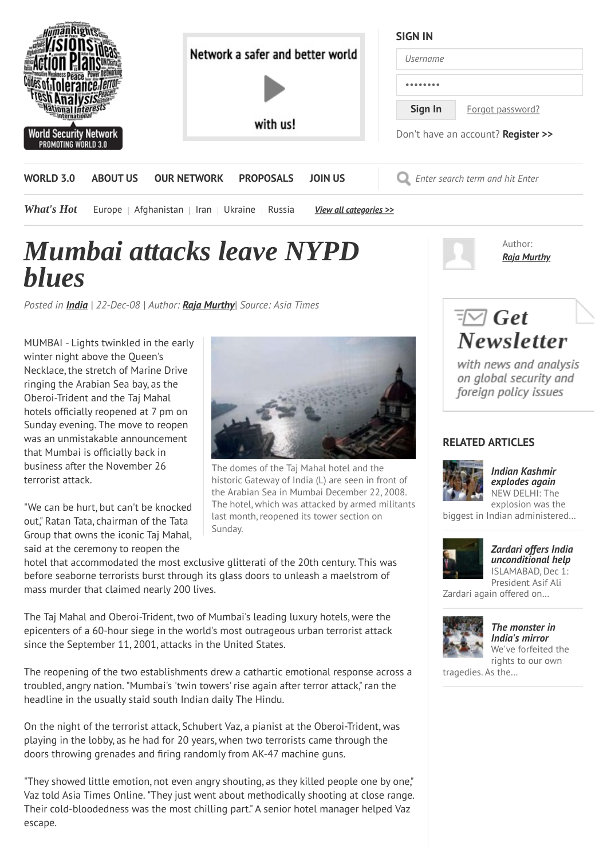

## *Mumbai attacks leave NYPD blues*

*Posted in [India](http://www.worldsecuritynetwork.com/category/India/69) | 22-Dec-08 | Author: [Raja Murthy](http://www.worldsecuritynetwork.com/author_bio/Murthy-Raja)| Source: Asia Times*

MUMBAI - Lights twinkled in the early winter night above the Queen's Necklace, the stretch of Marine Drive ringing the Arabian Sea bay, as the Oberoi-Trident and the Taj Mahal hotels officially reopened at 7 pm on Sunday evening. The move to reopen was an unmistakable announcement that Mumbai is officially back in business after the November 26 terrorist attack.

"We can be hurt, but can't be knocked out," Ratan Tata, chairman of the Tata Group that owns the iconic Taj Mahal, said at the ceremony to reopen the



The domes of the Taj Mahal hotel and the historic Gateway of India (L) are seen in front of the Arabian Sea in Mumbai December 22, 2008. The hotel, which was attacked by armed militants last month, reopened its tower section on Sunday.

hotel that accommodated the most exclusive glitterati of the 20th century. This was before seaborne terrorists burst through its glass doors to unleash a maelstrom of mass murder that claimed nearly 200 lives.

The Taj Mahal and Oberoi-Trident, two of Mumbai's leading luxury hotels, were the epicenters of a 60-hour siege in the world's most outrageous urban terrorist attack since the September 11, 2001, attacks in the United States.

The reopening of the two establishments drew a cathartic emotional response across a troubled, angry nation. "Mumbai's 'twin towers' rise again after terror attack," ran the headline in the usually staid south Indian daily The Hindu.

On the night of the terrorist attack, Schubert Vaz, a pianist at the Oberoi-Trident, was playing in the lobby, as he had for 20 years, when two terrorists came through the doors throwing grenades and firing randomly from AK-47 machine guns.

"They showed little emotion, not even angry shouting, as they killed people one by one," Vaz told Asia Times Online. "They just went about methodically shooting at close range. Their cold-bloodedness was the most chilling part." A senior hotel manager helped Vaz escape.



## $\overline{\sqrt[\equiv]{a}}$  Get **Newsletter**

with news and analysis on global security and foreign policy issues

## **RELATED ARTICLES**



*[Indian Kashmir](http://www.worldsecuritynetwork.com/India/siddharth-srivastava/Indian-Kashmir-explodes-again) explodes again* NEW DELHI: The explosion was the

biggest in Indian administered…



## *[Zardari offers India](http://www.worldsecuritynetwork.com/India-Pakistan/Raza-Syed/Zardari-offers-India-unconditional-help) unconditional help* ISLAMABAD, Dec 1: President Asif Ali

Zardari again offered on…



*[The monster in](http://www.worldsecuritynetwork.com/India/Roy-Arundhati/The-monster-in-Indias-mirror) India's mirror* We've forfeited the rights to our own

tragedies. As the…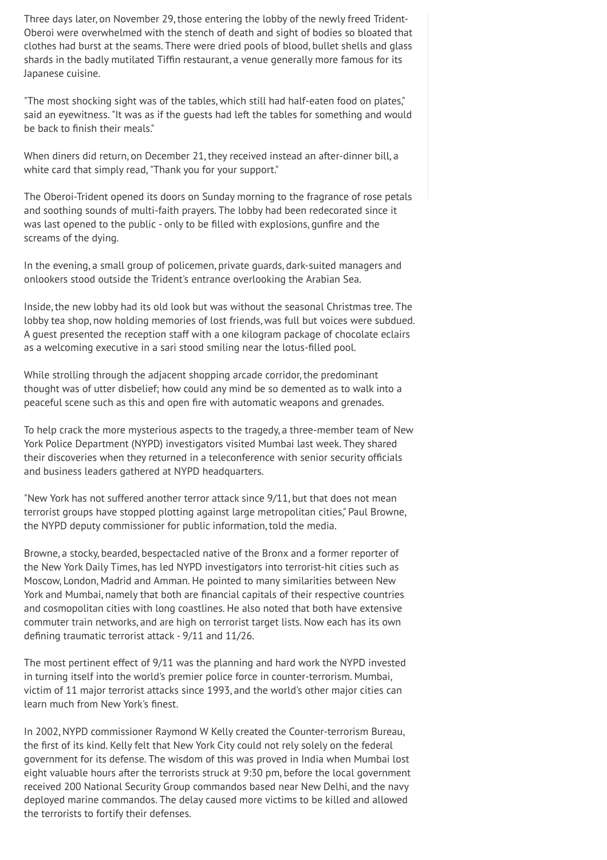Three days later, on November 29, those entering the lobby of the newly freed Trident-Oberoi were overwhelmed with the stench of death and sight of bodies so bloated that clothes had burst at the seams. There were dried pools of blood, bullet shells and glass shards in the badly mutilated Tiffin restaurant, a venue generally more famous for its Japanese cuisine.

"The most shocking sight was of the tables, which still had half-eaten food on plates," said an eyewitness. "It was as if the guests had left the tables for something and would be back to finish their meals."

When diners did return, on December 21, they received instead an after-dinner bill, a white card that simply read, "Thank you for your support."

The Oberoi-Trident opened its doors on Sunday morning to the fragrance of rose petals and soothing sounds of multi-faith prayers. The lobby had been redecorated since it was last opened to the public - only to be filled with explosions, gunfire and the screams of the dying.

In the evening, a small group of policemen, private guards, dark-suited managers and onlookers stood outside the Trident's entrance overlooking the Arabian Sea.

Inside, the new lobby had its old look but was without the seasonal Christmas tree. The lobby tea shop, now holding memories of lost friends, was full but voices were subdued. A guest presented the reception staff with a one kilogram package of chocolate eclairs as a welcoming executive in a sari stood smiling near the lotus-filled pool.

While strolling through the adjacent shopping arcade corridor, the predominant thought was of utter disbelief; how could any mind be so demented as to walk into a peaceful scene such as this and open fire with automatic weapons and grenades.

To help crack the more mysterious aspects to the tragedy, a three-member team of New York Police Department (NYPD) investigators visited Mumbai last week. They shared their discoveries when they returned in a teleconference with senior security officials and business leaders gathered at NYPD headquarters.

"New York has not suffered another terror attack since 9/11, but that does not mean terrorist groups have stopped plotting against large metropolitan cities," Paul Browne, the NYPD deputy commissioner for public information, told the media.

Browne, a stocky, bearded, bespectacled native of the Bronx and a former reporter of the New York Daily Times, has led NYPD investigators into terrorist-hit cities such as Moscow, London, Madrid and Amman. He pointed to many similarities between New York and Mumbai, namely that both are financial capitals of their respective countries and cosmopolitan cities with long coastlines. He also noted that both have extensive commuter train networks, and are high on terrorist target lists. Now each has its own defining traumatic terrorist attack - 9/11 and 11/26.

The most pertinent effect of 9/11 was the planning and hard work the NYPD invested in turning itself into the world's premier police force in counter-terrorism. Mumbai, victim of 11 major terrorist attacks since 1993, and the world's other major cities can learn much from New York's finest.

In 2002, NYPD commissioner Raymond W Kelly created the Counter-terrorism Bureau, the first of its kind. Kelly felt that New York City could not rely solely on the federal government for its defense. The wisdom of this was proved in India when Mumbai lost eight valuable hours after the terrorists struck at 9:30 pm, before the local government received 200 National Security Group commandos based near New Delhi, and the navy deployed marine commandos. The delay caused more victims to be killed and allowed the terrorists to fortify their defenses.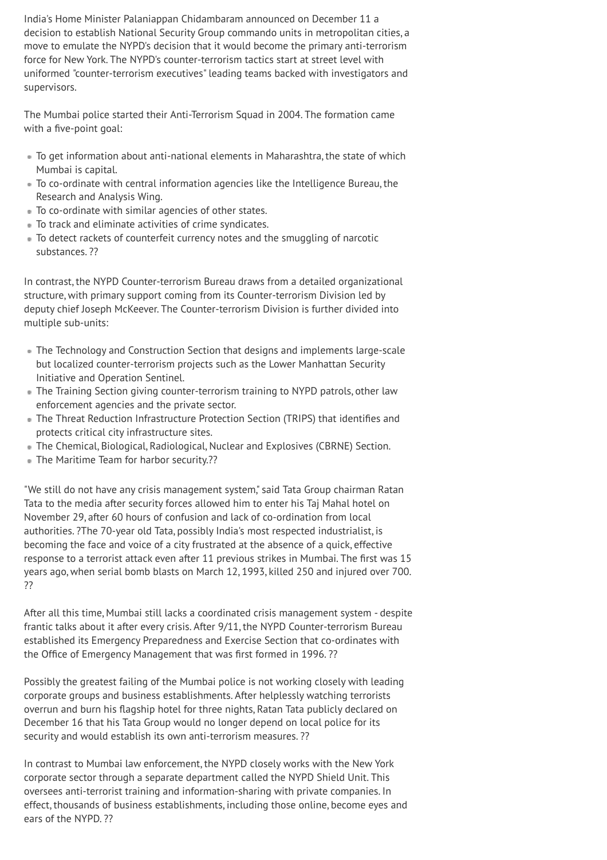India's Home Minister Palaniappan Chidambaram announced on December 11 a decision to establish National Security Group commando units in metropolitan cities, a move to emulate the NYPD's decision that it would become the primary anti-terrorism force for New York. The NYPD's counter-terrorism tactics start at street level with uniformed "counter-terrorism executives" leading teams backed with investigators and supervisors.

The Mumbai police started their Anti-Terrorism Squad in 2004. The formation came with a five-point goal:

- To get information about anti-national elements in Maharashtra, the state of which Mumbai is capital.
- To co-ordinate with central information agencies like the Intelligence Bureau, the Research and Analysis Wing.
- To co-ordinate with similar agencies of other states.
- To track and eliminate activities of crime syndicates.
- To detect rackets of counterfeit currency notes and the smuggling of narcotic substances. ??

In contrast, the NYPD Counter-terrorism Bureau draws from a detailed organizational structure, with primary support coming from its Counter-terrorism Division led by deputy chief Joseph McKeever. The Counter-terrorism Division is further divided into multiple sub-units:

- The Technology and Construction Section that designs and implements large-scale but localized counter-terrorism projects such as the Lower Manhattan Security Initiative and Operation Sentinel.
- The Training Section giving counter-terrorism training to NYPD patrols, other law enforcement agencies and the private sector.
- The Threat Reduction Infrastructure Protection Section (TRIPS) that identifies and protects critical city infrastructure sites.
- The Chemical, Biological, Radiological, Nuclear and Explosives (CBRNE) Section.
- The Maritime Team for harbor security.??

"We still do not have any crisis management system," said Tata Group chairman Ratan Tata to the media after security forces allowed him to enter his Taj Mahal hotel on November 29, after 60 hours of confusion and lack of co-ordination from local authorities. ?The 70-year old Tata, possibly India's most respected industrialist, is becoming the face and voice of a city frustrated at the absence of a quick, effective response to a terrorist attack even after 11 previous strikes in Mumbai. The first was 15 years ago, when serial bomb blasts on March 12, 1993, killed 250 and injured over 700. ??

After all this time, Mumbai still lacks a coordinated crisis management system - despite frantic talks about it after every crisis. After 9/11, the NYPD Counter-terrorism Bureau established its Emergency Preparedness and Exercise Section that co-ordinates with the Office of Emergency Management that was first formed in 1996. ??

Possibly the greatest failing of the Mumbai police is not working closely with leading corporate groups and business establishments. After helplessly watching terrorists overrun and burn his flagship hotel for three nights, Ratan Tata publicly declared on December 16 that his Tata Group would no longer depend on local police for its security and would establish its own anti-terrorism measures. ??

In contrast to Mumbai law enforcement, the NYPD closely works with the New York corporate sector through a separate department called the NYPD Shield Unit. This oversees anti-terrorist training and information-sharing with private companies. In effect, thousands of business establishments, including those online, become eyes and ears of the NYPD. ??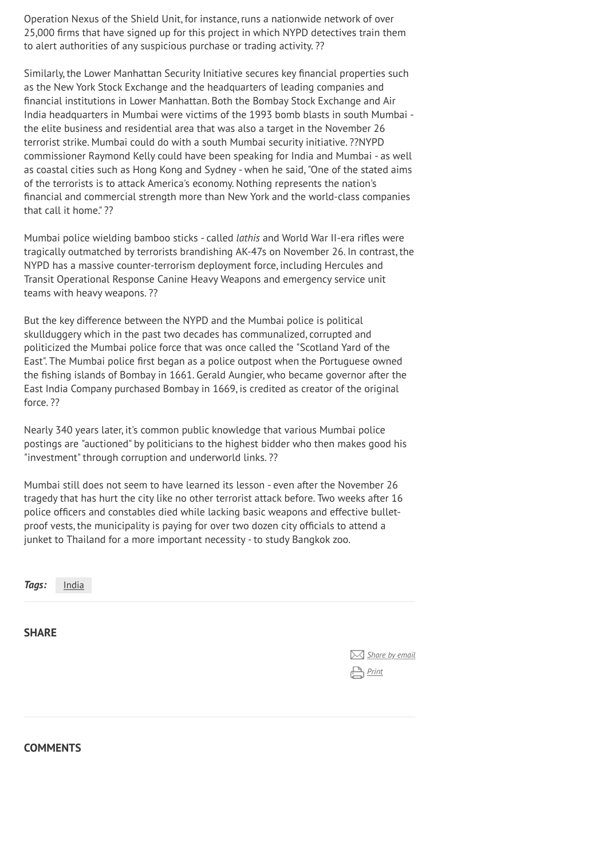Operation Nexus of the Shield Unit, for instance, runs a nationwide network of over 25,000 firms that have signed up for this project in which NYPD detectives train them to alert authorities of any suspicious purchase or trading activity. ??

Similarly, the Lower Manhattan Security Initiative secures key financial properties such as the New York Stock Exchange and the headquarters of leading companies and financial institutions in Lower Manhattan. Both the Bombay Stock Exchange and Air India headquarters in Mumbai were victims of the 1993 bomb blasts in south Mumbai the elite business and residential area that was also a target in the November 26 terrorist strike. Mumbai could do with a south Mumbai security initiative. ??NYPD commissioner Raymond Kelly could have been speaking for India and Mumbai - as well as coastal cities such as Hong Kong and Sydney - when he said, "One of the stated aims of the terrorists is to attack America's economy. Nothing represents the nation's financial and commercial strength more than New York and the world-class companies that call it home" ??

Mumbai police wielding bamboo sticks - called *lathis* and World War II-era rifles were tragically outmatched by terrorists brandishing AK-47s on November 26. In contrast, the NYPD has a massive counter-terrorism deployment force, including Hercules and Transit Operational Response Canine Heavy Weapons and emergency service unit teams with heavy weapons. ??

But the key difference between the NYPD and the Mumbai police is political skullduggery which in the past two decades has communalized, corrupted and politicized the Mumbai police force that was once called the "Scotland Yard of the East". The Mumbai police first began as a police outpost when the Portuguese owned the fishing islands of Bombay in 1661. Gerald Aungier, who became governor after the East India Company purchased Bombay in 1669, is credited as creator of the original force. ??

Nearly 340 years later, it's common public knowledge that various Mumbai police postings are "auctioned" by politicians to the highest bidder who then makes good his "investment" through corruption and underworld links. ??

Mumbai still does not seem to have learned its lesson - even after the November 26 tragedy that has hurt the city like no other terrorist attack before. Two weeks after 16 police officers and constables died while lacking basic weapons and effective bulletproof vests, the municipality is paying for over two dozen city officials to attend a junket to Thailand for a more important necessity - to study Bangkok zoo.

*Tags:* [India](http://www.worldsecuritynetwork.com/category/India/69)

**SHARE**

| Share by email |  |
|----------------|--|
| Print          |  |

**COMMENTS**